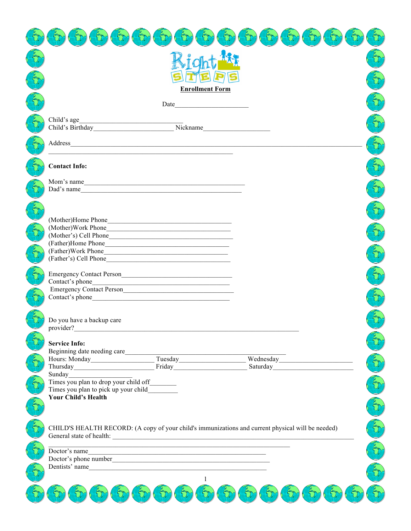|                                                                               | <b>Enrollment Form</b>                                        |                                                                                                   |  |
|-------------------------------------------------------------------------------|---------------------------------------------------------------|---------------------------------------------------------------------------------------------------|--|
|                                                                               |                                                               |                                                                                                   |  |
| Child's age                                                                   |                                                               |                                                                                                   |  |
|                                                                               |                                                               |                                                                                                   |  |
|                                                                               |                                                               |                                                                                                   |  |
|                                                                               |                                                               |                                                                                                   |  |
|                                                                               |                                                               |                                                                                                   |  |
| <b>Contact Info:</b>                                                          |                                                               |                                                                                                   |  |
| Mom's name                                                                    |                                                               |                                                                                                   |  |
| Dad's name                                                                    |                                                               |                                                                                                   |  |
|                                                                               |                                                               |                                                                                                   |  |
|                                                                               |                                                               |                                                                                                   |  |
|                                                                               |                                                               |                                                                                                   |  |
| (Mother's) Cell Phone                                                         |                                                               |                                                                                                   |  |
| (Father)Home Phone                                                            |                                                               |                                                                                                   |  |
|                                                                               |                                                               |                                                                                                   |  |
|                                                                               |                                                               |                                                                                                   |  |
| Emergency Contact Person<br><u>Emergency</u> Contact Person                   |                                                               |                                                                                                   |  |
|                                                                               |                                                               |                                                                                                   |  |
|                                                                               |                                                               |                                                                                                   |  |
| Contact's phone                                                               |                                                               |                                                                                                   |  |
|                                                                               |                                                               |                                                                                                   |  |
| Do you have a backup care                                                     |                                                               |                                                                                                   |  |
| provider?                                                                     | <u> 1989 - Johann Stein, mars an deutscher Stein († 1989)</u> |                                                                                                   |  |
| <b>Service Info:</b>                                                          |                                                               |                                                                                                   |  |
| Beginning date needing care                                                   |                                                               |                                                                                                   |  |
|                                                                               | Friday <b>Friday</b>                                          | Saturday and the Saturday                                                                         |  |
| Sunday                                                                        |                                                               |                                                                                                   |  |
| Times you plan to drop your child off__________                               |                                                               |                                                                                                   |  |
| Times you plan to pick up your child                                          |                                                               |                                                                                                   |  |
| <b>Your Child's Health</b>                                                    |                                                               |                                                                                                   |  |
|                                                                               |                                                               |                                                                                                   |  |
|                                                                               |                                                               |                                                                                                   |  |
|                                                                               |                                                               | CHILD'S HEALTH RECORD: (A copy of your child's immunizations and current physical will be needed) |  |
| General state of health: <u>contract the contract of the state of health:</u> |                                                               |                                                                                                   |  |
| Doctor's name                                                                 | <u> 1989 - Johann Stoff, amerikansk politiker (d. 1989)</u>   |                                                                                                   |  |
|                                                                               |                                                               |                                                                                                   |  |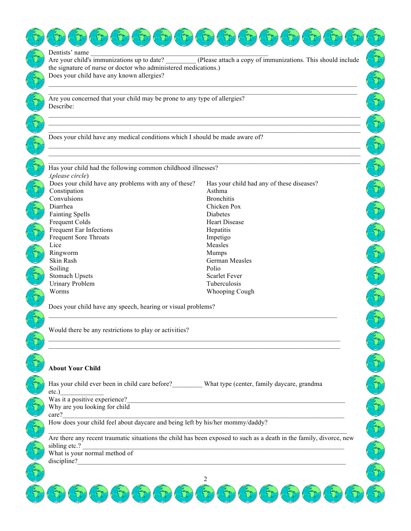| Dentists' name<br>Are your child's immunizations up to date?<br>the signature of nurse or doctor who administered medications.)                                                                                                                                                                | (Please attach a copy of immunizations. This should include                                                            |  |  |
|------------------------------------------------------------------------------------------------------------------------------------------------------------------------------------------------------------------------------------------------------------------------------------------------|------------------------------------------------------------------------------------------------------------------------|--|--|
| Does your child have any known allergies?                                                                                                                                                                                                                                                      |                                                                                                                        |  |  |
| Are you concerned that your child may be prone to any type of allergies?<br>Describe:                                                                                                                                                                                                          |                                                                                                                        |  |  |
| Does your child have any medical conditions which I should be made aware of?                                                                                                                                                                                                                   |                                                                                                                        |  |  |
| Has your child had the following common childhood illnesses?<br>(please circle).                                                                                                                                                                                                               |                                                                                                                        |  |  |
| Does your child have any problems with any of these?<br>Constipation<br>Convulsions                                                                                                                                                                                                            | Has your child had any of these diseases?<br>Asthma<br><b>Bronchitis</b>                                               |  |  |
| Diarrhea<br><b>Fainting Spells</b><br>Frequent Colds<br>Frequent Ear Infections                                                                                                                                                                                                                | Chicken Pox<br><b>Diabetes</b><br><b>Heart Disease</b>                                                                 |  |  |
| <b>Frequent Sore Throats</b><br>Lice<br>Ringworm                                                                                                                                                                                                                                               | Hepatitis<br>Impetigo<br>Measles<br>Mumps                                                                              |  |  |
| Skin Rash<br>Soiling<br><b>Stomach Upsets</b>                                                                                                                                                                                                                                                  | German Measles<br>Polio<br><b>Scarlet Fever</b>                                                                        |  |  |
| <b>Urinary Problem</b><br>Worms                                                                                                                                                                                                                                                                | Tuberculosis<br>Whooping Cough                                                                                         |  |  |
| Does your child have any speech, hearing or visual problems?<br>Would there be any restrictions to play or activities?                                                                                                                                                                         |                                                                                                                        |  |  |
|                                                                                                                                                                                                                                                                                                |                                                                                                                        |  |  |
| <b>About Your Child</b>                                                                                                                                                                                                                                                                        |                                                                                                                        |  |  |
| Has your child ever been in child care before? What type (center, family daycare, grandma<br>$etc.$ )<br>Was it a positive experience?<br>Why are you looking for child                                                                                                                        | <u> 1980 - Jan Samuel Barbara, martin din shekara 1980 - André a Samuel Barbara, mashrida a shekara 1980 - André a</u> |  |  |
| care?<br>care?<br>How does your child feel about daycare and being left by his/her mommy/daddy?                                                                                                                                                                                                |                                                                                                                        |  |  |
| Are there any recent traumatic situations the child has been exposed to such as a death in the family, divorce, new<br>sibling etc.?<br>What is your normal method of<br><u> 1989 - Johann John Stone, markin film yn y brening yn y brening yn y brening yn y brening yn y brening yn y b</u> |                                                                                                                        |  |  |
|                                                                                                                                                                                                                                                                                                | $\overline{2}$                                                                                                         |  |  |
|                                                                                                                                                                                                                                                                                                |                                                                                                                        |  |  |